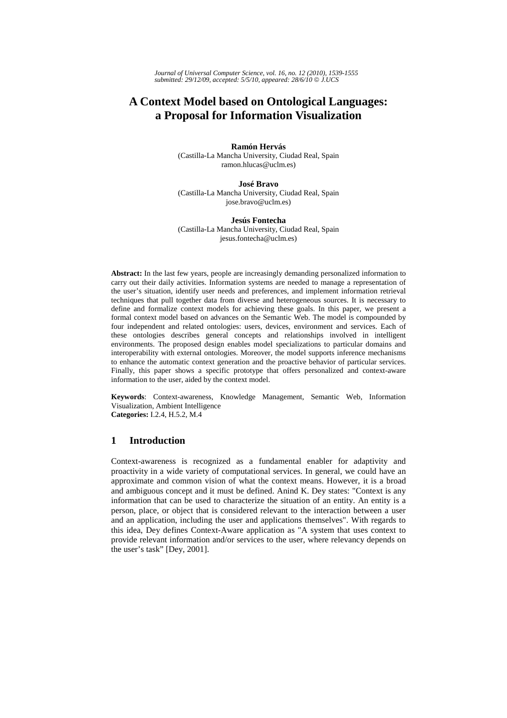*Journal of Universal Computer Science, vol. 16, no. 12 (2010), 1539-1555 submitted: 29/12/09, accepted: 5/5/10, appeared: 28/6/10* © *J.UCS*

# **A Context Model based on Ontological Languages: a Proposal for Information Visualization**

### **Ramón Hervás**

(Castilla-La Mancha University, Ciudad Real, Spain ramon.hlucas@uclm.es)

#### **José Bravo**

(Castilla-La Mancha University, Ciudad Real, Spain jose.bravo@uclm.es)

#### **Jesús Fontecha**

(Castilla-La Mancha University, Ciudad Real, Spain jesus.fontecha@uclm.es)

**Abstract:** In the last few years, people are increasingly demanding personalized information to carry out their daily activities. Information systems are needed to manage a representation of the user's situation, identify user needs and preferences, and implement information retrieval techniques that pull together data from diverse and heterogeneous sources. It is necessary to define and formalize context models for achieving these goals. In this paper, we present a formal context model based on advances on the Semantic Web. The model is compounded by four independent and related ontologies: users, devices, environment and services. Each of these ontologies describes general concepts and relationships involved in intelligent environments. The proposed design enables model specializations to particular domains and interoperability with external ontologies. Moreover, the model supports inference mechanisms to enhance the automatic context generation and the proactive behavior of particular services. Finally, this paper shows a specific prototype that offers personalized and context-aware information to the user, aided by the context model.

**Keywords**: Context-awareness, Knowledge Management, Semantic Web, Information Visualization, Ambient Intelligence **Categories:** I.2.4, H.5.2, M.4

## **1 Introduction**

Context-awareness is recognized as a fundamental enabler for adaptivity and proactivity in a wide variety of computational services. In general, we could have an approximate and common vision of what the context means. However, it is a broad and ambiguous concept and it must be defined. Anind K. Dey states: "Context is any information that can be used to characterize the situation of an entity. An entity is a person, place, or object that is considered relevant to the interaction between a user and an application, including the user and applications themselves". With regards to this idea, Dey defines Context-Aware application as "A system that uses context to provide relevant information and/or services to the user, where relevancy depends on the user's task" [Dey, 2001].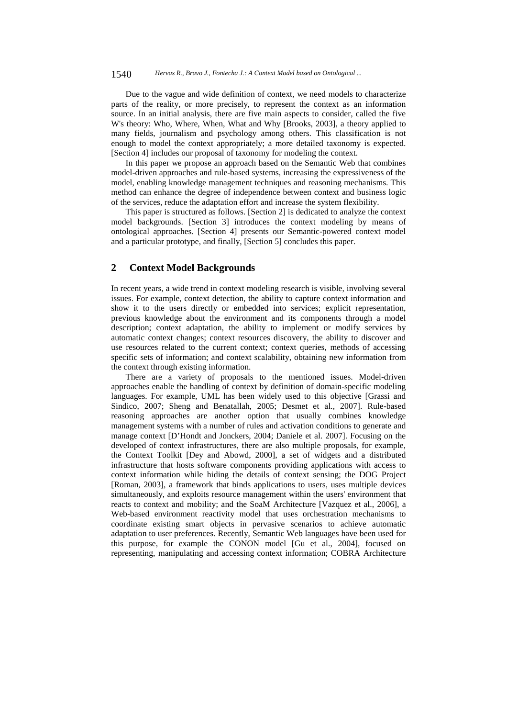#### 1540 *Hervas R., Bravo J., Fontecha J.: A Context Model based on Ontological ...*

Due to the vague and wide definition of context, we need models to characterize parts of the reality, or more precisely, to represent the context as an information source. In an initial analysis, there are five main aspects to consider, called the five W's theory: Who, Where, When, What and Why [Brooks, 2003], a theory applied to many fields, journalism and psychology among others. This classification is not enough to model the context appropriately; a more detailed taxonomy is expected. [Section 4] includes our proposal of taxonomy for modeling the context.

In this paper we propose an approach based on the Semantic Web that combines model-driven approaches and rule-based systems, increasing the expressiveness of the model, enabling knowledge management techniques and reasoning mechanisms. This method can enhance the degree of independence between context and business logic of the services, reduce the adaptation effort and increase the system flexibility.

This paper is structured as follows. [Section 2] is dedicated to analyze the context model backgrounds. [Section 3] introduces the context modeling by means of ontological approaches. [Section 4] presents our Semantic-powered context model and a particular prototype, and finally, [Section 5] concludes this paper.

## **2 Context Model Backgrounds**

In recent years, a wide trend in context modeling research is visible, involving several issues. For example, context detection, the ability to capture context information and show it to the users directly or embedded into services; explicit representation, previous knowledge about the environment and its components through a model description; context adaptation, the ability to implement or modify services by automatic context changes; context resources discovery, the ability to discover and use resources related to the current context; context queries, methods of accessing specific sets of information; and context scalability, obtaining new information from the context through existing information.

There are a variety of proposals to the mentioned issues. Model-driven approaches enable the handling of context by definition of domain-specific modeling languages. For example, UML has been widely used to this objective [Grassi and Sindico, 2007; Sheng and Benatallah, 2005; Desmet et al., 2007]. Rule-based reasoning approaches are another option that usually combines knowledge management systems with a number of rules and activation conditions to generate and manage context [D'Hondt and Jonckers, 2004; Daniele et al. 2007]. Focusing on the developed of context infrastructures, there are also multiple proposals, for example, the Context Toolkit [Dey and Abowd, 2000], a set of widgets and a distributed infrastructure that hosts software components providing applications with access to context information while hiding the details of context sensing; the DOG Project [Roman, 2003], a framework that binds applications to users, uses multiple devices simultaneously, and exploits resource management within the users' environment that reacts to context and mobility; and the SoaM Architecture [Vazquez et al., 2006], a Web-based environment reactivity model that uses orchestration mechanisms to coordinate existing smart objects in pervasive scenarios to achieve automatic adaptation to user preferences. Recently, Semantic Web languages have been used for this purpose, for example the CONON model [Gu et al., 2004], focused on representing, manipulating and accessing context information; COBRA Architecture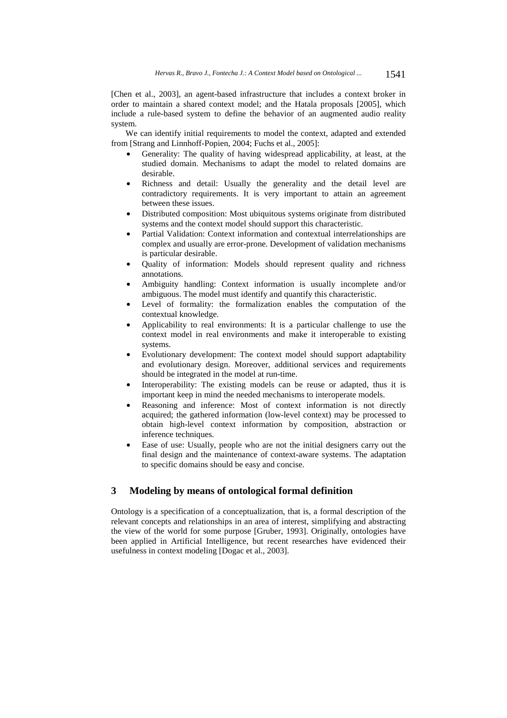[Chen et al., 2003], an agent-based infrastructure that includes a context broker in order to maintain a shared context model; and the Hatala proposals [2005], which include a rule-based system to define the behavior of an augmented audio reality system.

We can identify initial requirements to model the context, adapted and extended from [Strang and Linnhoff-Popien, 2004; Fuchs et al., 2005]:

- Generality: The quality of having widespread applicability, at least, at the studied domain. Mechanisms to adapt the model to related domains are desirable.
- Richness and detail: Usually the generality and the detail level are contradictory requirements. It is very important to attain an agreement between these issues.
- Distributed composition: Most ubiquitous systems originate from distributed systems and the context model should support this characteristic.
- Partial Validation: Context information and contextual interrelationships are complex and usually are error-prone. Development of validation mechanisms is particular desirable.
- Quality of information: Models should represent quality and richness annotations.
- Ambiguity handling: Context information is usually incomplete and/or ambiguous. The model must identify and quantify this characteristic.
- Level of formality: the formalization enables the computation of the contextual knowledge.
- Applicability to real environments: It is a particular challenge to use the context model in real environments and make it interoperable to existing systems.
- Evolutionary development: The context model should support adaptability and evolutionary design. Moreover, additional services and requirements should be integrated in the model at run-time.
- Interoperability: The existing models can be reuse or adapted, thus it is important keep in mind the needed mechanisms to interoperate models.
- Reasoning and inference: Most of context information is not directly acquired; the gathered information (low-level context) may be processed to obtain high-level context information by composition, abstraction or inference techniques.
- Ease of use: Usually, people who are not the initial designers carry out the final design and the maintenance of context-aware systems. The adaptation to specific domains should be easy and concise.

## **3 Modeling by means of ontological formal definition**

Ontology is a specification of a conceptualization, that is, a formal description of the relevant concepts and relationships in an area of interest, simplifying and abstracting the view of the world for some purpose [Gruber, 1993]. Originally, ontologies have been applied in Artificial Intelligence, but recent researches have evidenced their usefulness in context modeling [Dogac et al., 2003].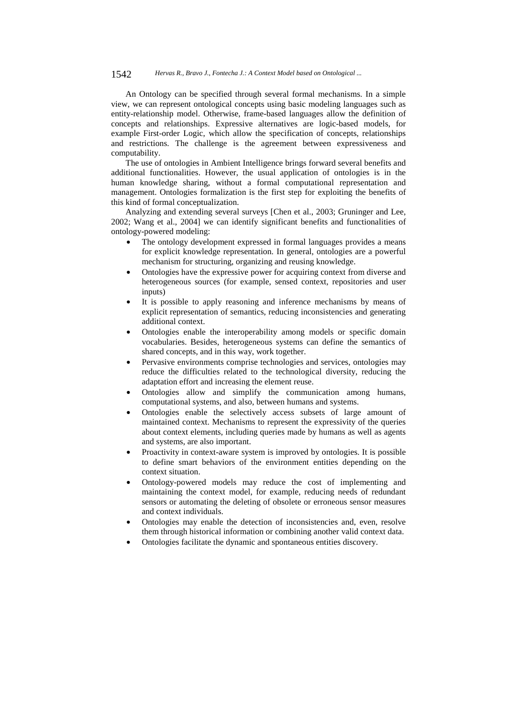#### 1542 *Hervas R., Bravo J., Fontecha J.: A Context Model based on Ontological ...*

An Ontology can be specified through several formal mechanisms. In a simple view, we can represent ontological concepts using basic modeling languages such as entity-relationship model. Otherwise, frame-based languages allow the definition of concepts and relationships. Expressive alternatives are logic-based models, for example First-order Logic, which allow the specification of concepts, relationships and restrictions. The challenge is the agreement between expressiveness and computability.

The use of ontologies in Ambient Intelligence brings forward several benefits and additional functionalities. However, the usual application of ontologies is in the human knowledge sharing, without a formal computational representation and management. Ontologies formalization is the first step for exploiting the benefits of this kind of formal conceptualization.

Analyzing and extending several surveys [Chen et al., 2003; Gruninger and Lee, 2002; Wang et al., 2004] we can identify significant benefits and functionalities of ontology-powered modeling:

- The ontology development expressed in formal languages provides a means for explicit knowledge representation. In general, ontologies are a powerful mechanism for structuring, organizing and reusing knowledge.
- Ontologies have the expressive power for acquiring context from diverse and heterogeneous sources (for example, sensed context, repositories and user inputs)
- It is possible to apply reasoning and inference mechanisms by means of explicit representation of semantics, reducing inconsistencies and generating additional context.
- Ontologies enable the interoperability among models or specific domain vocabularies. Besides, heterogeneous systems can define the semantics of shared concepts, and in this way, work together.
- Pervasive environments comprise technologies and services, ontologies may reduce the difficulties related to the technological diversity, reducing the adaptation effort and increasing the element reuse.
- Ontologies allow and simplify the communication among humans, computational systems, and also, between humans and systems.
- Ontologies enable the selectively access subsets of large amount of maintained context. Mechanisms to represent the expressivity of the queries about context elements, including queries made by humans as well as agents and systems, are also important.
- Proactivity in context-aware system is improved by ontologies. It is possible to define smart behaviors of the environment entities depending on the context situation.
- Ontology-powered models may reduce the cost of implementing and maintaining the context model, for example, reducing needs of redundant sensors or automating the deleting of obsolete or erroneous sensor measures and context individuals.
- Ontologies may enable the detection of inconsistencies and, even, resolve them through historical information or combining another valid context data.
- Ontologies facilitate the dynamic and spontaneous entities discovery.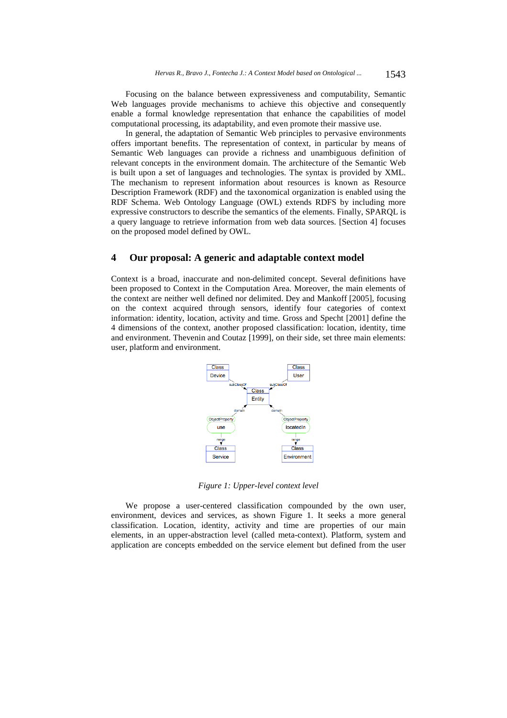Focusing on the balance between expressiveness and computability, Semantic Web languages provide mechanisms to achieve this objective and consequently enable a formal knowledge representation that enhance the capabilities of model computational processing, its adaptability, and even promote their massive use.

In general, the adaptation of Semantic Web principles to pervasive environments offers important benefits. The representation of context, in particular by means of Semantic Web languages can provide a richness and unambiguous definition of relevant concepts in the environment domain. The architecture of the Semantic Web is built upon a set of languages and technologies. The syntax is provided by XML. The mechanism to represent information about resources is known as Resource Description Framework (RDF) and the taxonomical organization is enabled using the RDF Schema. Web Ontology Language (OWL) extends RDFS by including more expressive constructors to describe the semantics of the elements. Finally, SPARQL is a query language to retrieve information from web data sources. [Section 4] focuses on the proposed model defined by OWL.

## **4 Our proposal: A generic and adaptable context model**

Context is a broad, inaccurate and non-delimited concept. Several definitions have been proposed to Context in the Computation Area. Moreover, the main elements of the context are neither well defined nor delimited. Dey and Mankoff [2005], focusing on the context acquired through sensors, identify four categories of context information: identity, location, activity and time. Gross and Specht [2001] define the 4 dimensions of the context, another proposed classification: location, identity, time and environment. Thevenin and Coutaz [1999], on their side, set three main elements: user, platform and environment.



*Figure 1: Upper-level context level* 

We propose a user-centered classification compounded by the own user, environment, devices and services, as shown Figure 1. It seeks a more general classification. Location, identity, activity and time are properties of our main elements, in an upper-abstraction level (called meta-context). Platform, system and application are concepts embedded on the service element but defined from the user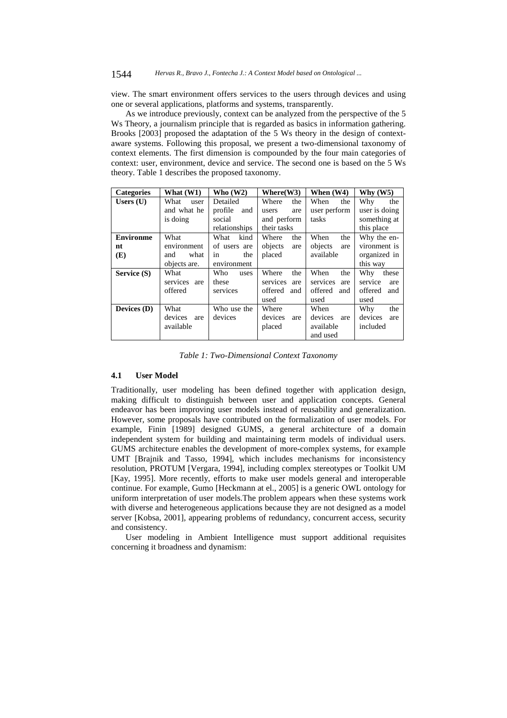view. The smart environment offers services to the users through devices and using one or several applications, platforms and systems, transparently.

As we introduce previously, context can be analyzed from the perspective of the 5 Ws Theory, a journalism principle that is regarded as basics in information gathering. Brooks [2003] proposed the adaptation of the 5 Ws theory in the design of contextaware systems. Following this proposal, we present a two-dimensional taxonomy of context elements. The first dimension is compounded by the four main categories of context: user, environment, device and service. The second one is based on the 5 Ws theory. Table 1 describes the proposed taxonomy.

| <b>Categories</b> | What $(W1)$     | Who $(W2)$     | Where(W3)       | When (W4)       | Why $(W5)$     |
|-------------------|-----------------|----------------|-----------------|-----------------|----------------|
| Users $(U)$       | What<br>user    | Detailed       | Where<br>the    | When<br>the     | Why<br>the     |
|                   | and what he     | profile<br>and | users<br>are    | user perform    | user is doing  |
|                   | is doing        | social         | and perform     | tasks           | something at   |
|                   |                 | relationships  | their tasks     |                 | this place     |
| <b>Environme</b>  | What            | What<br>kind   | Where<br>the    | When<br>the     | Why the en-    |
| nt                | environment     | of users are   | objects<br>are  | objects<br>are  | vironment is   |
| (E)               | what<br>and     | the<br>in      | placed          | available       | organized in   |
|                   | objects are.    | environment    |                 |                 | this way       |
| Service (S)       | What            | Who<br>uses    | Where<br>the    | When<br>the     | Why<br>these   |
|                   | services<br>are | these          | services<br>are | services<br>are | service<br>are |
|                   | offered         | services       | offered<br>and  | offered<br>and  | offered<br>and |
|                   |                 |                | used            | used            | used           |
| Devices $(D)$     | What            | Who use the    | Where           | When            | Why<br>the     |
|                   | devices<br>are  | devices        | devices<br>are  | devices<br>are  | devices<br>are |
|                   | available       |                | placed          | available       | included       |
|                   |                 |                |                 | and used        |                |

*Table 1: Two-Dimensional Context Taxonomy* 

#### **4.1 User Model**

Traditionally, user modeling has been defined together with application design, making difficult to distinguish between user and application concepts. General endeavor has been improving user models instead of reusability and generalization. However, some proposals have contributed on the formalization of user models. For example, Finin [1989] designed GUMS, a general architecture of a domain independent system for building and maintaining term models of individual users. GUMS architecture enables the development of more-complex systems, for example UMT [Brajnik and Tasso, 1994], which includes mechanisms for inconsistency resolution, PROTUM [Vergara, 1994], including complex stereotypes or Toolkit UM [Kay, 1995]. More recently, efforts to make user models general and interoperable continue. For example, Gumo [Heckmann at el., 2005] is a generic OWL ontology for uniform interpretation of user models.The problem appears when these systems work with diverse and heterogeneous applications because they are not designed as a model server [Kobsa, 2001], appearing problems of redundancy, concurrent access, security and consistency.

User modeling in Ambient Intelligence must support additional requisites concerning it broadness and dynamism: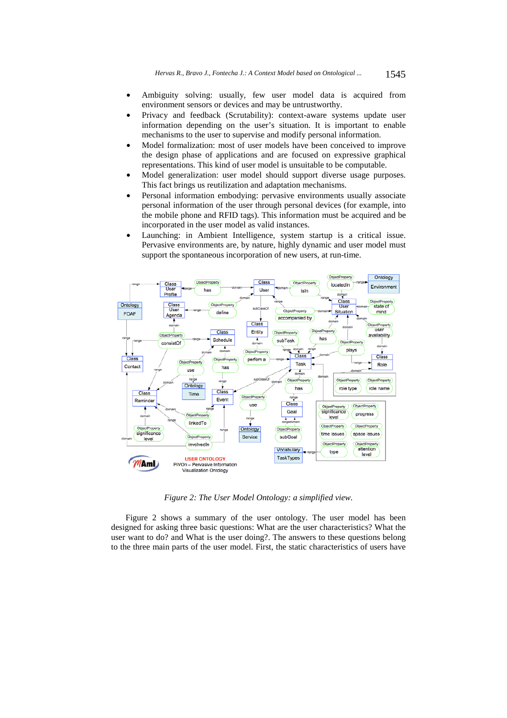- Ambiguity solving: usually, few user model data is acquired from environment sensors or devices and may be untrustworthy.
- Privacy and feedback (Scrutability): context-aware systems update user information depending on the user's situation. It is important to enable mechanisms to the user to supervise and modify personal information.
- Model formalization: most of user models have been conceived to improve the design phase of applications and are focused on expressive graphical representations. This kind of user model is unsuitable to be computable.
- Model generalization: user model should support diverse usage purposes. This fact brings us reutilization and adaptation mechanisms.
- Personal information embodying: pervasive environments usually associate personal information of the user through personal devices (for example, into the mobile phone and RFID tags). This information must be acquired and be incorporated in the user model as valid instances.
- Launching: in Ambient Intelligence, system startup is a critical issue. Pervasive environments are, by nature, highly dynamic and user model must support the spontaneous incorporation of new users, at run-time.



*Figure 2: The User Model Ontology: a simplified view.* 

Figure 2 shows a summary of the user ontology. The user model has been designed for asking three basic questions: What are the user characteristics? What the user want to do? and What is the user doing?. The answers to these questions belong to the three main parts of the user model. First, the static characteristics of users have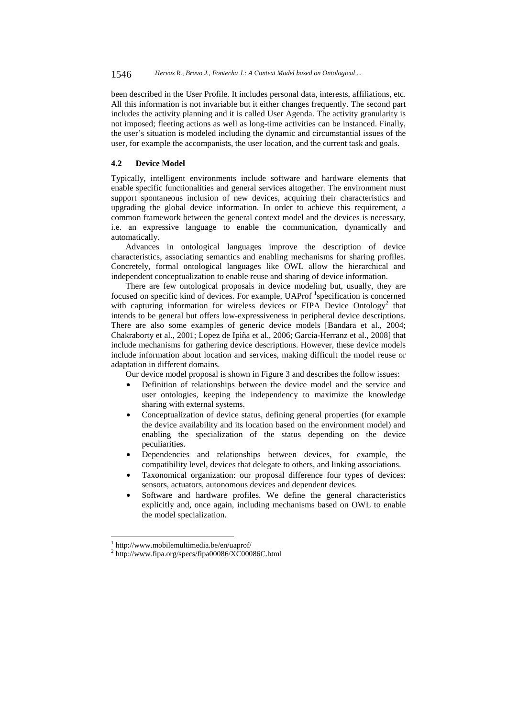been described in the User Profile. It includes personal data, interests, affiliations, etc. All this information is not invariable but it either changes frequently. The second part includes the activity planning and it is called User Agenda. The activity granularity is not imposed; fleeting actions as well as long-time activities can be instanced. Finally, the user's situation is modeled including the dynamic and circumstantial issues of the user, for example the accompanists, the user location, and the current task and goals.

## **4.2 Device Model**

Typically, intelligent environments include software and hardware elements that enable specific functionalities and general services altogether. The environment must support spontaneous inclusion of new devices, acquiring their characteristics and upgrading the global device information. In order to achieve this requirement, a common framework between the general context model and the devices is necessary, i.e. an expressive language to enable the communication, dynamically and automatically.

Advances in ontological languages improve the description of device characteristics, associating semantics and enabling mechanisms for sharing profiles. Concretely, formal ontological languages like OWL allow the hierarchical and independent conceptualization to enable reuse and sharing of device information.

There are few ontological proposals in device modeling but, usually, they are focused on specific kind of devices. For example, UAProf <sup>1</sup>specification is concerned with capturing information for wireless devices or FIPA Device Ontology<sup>2</sup> that intends to be general but offers low-expressiveness in peripheral device descriptions. There are also some examples of generic device models [Bandara et al., 2004; Chakraborty et al., 2001; Lopez de Ipiña et al., 2006; Garcia-Herranz et al., 2008] that include mechanisms for gathering device descriptions. However, these device models include information about location and services, making difficult the model reuse or adaptation in different domains.

Our device model proposal is shown in Figure 3 and describes the follow issues:

- Definition of relationships between the device model and the service and user ontologies, keeping the independency to maximize the knowledge sharing with external systems.
- Conceptualization of device status, defining general properties (for example the device availability and its location based on the environment model) and enabling the specialization of the status depending on the device peculiarities.
- Dependencies and relationships between devices, for example, the compatibility level, devices that delegate to others, and linking associations.
- Taxonomical organization: our proposal difference four types of devices: sensors, actuators, autonomous devices and dependent devices.
- Software and hardware profiles. We define the general characteristics explicitly and, once again, including mechanisms based on OWL to enable the model specialization.

l

<sup>1</sup> http://www.mobilemultimedia.be/en/uaprof/

<sup>&</sup>lt;sup>2</sup> http://www.fipa.org/specs/fipa00086/XC00086C.html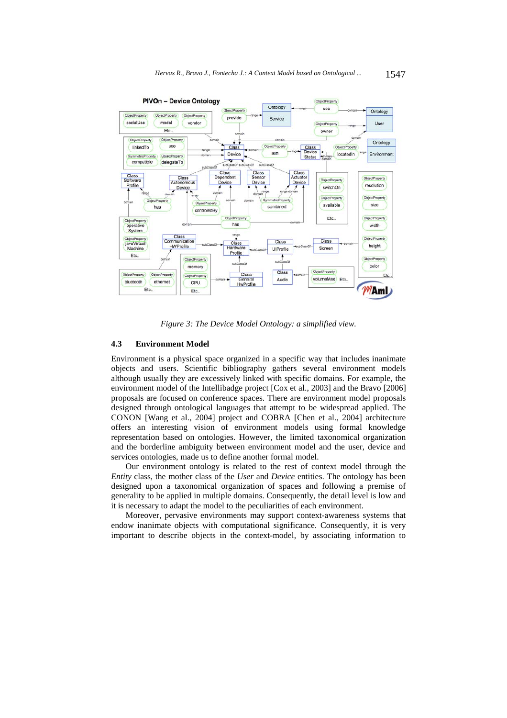

*Figure 3: The Device Model Ontology: a simplified view.* 

## **4.3 Environment Model**

Environment is a physical space organized in a specific way that includes inanimate objects and users. Scientific bibliography gathers several environment models although usually they are excessively linked with specific domains. For example, the environment model of the Intellibadge project [Cox et al., 2003] and the Bravo [2006] proposals are focused on conference spaces. There are environment model proposals designed through ontological languages that attempt to be widespread applied. The CONON [Wang et al., 2004] project and COBRA [Chen et al., 2004] architecture offers an interesting vision of environment models using formal knowledge representation based on ontologies. However, the limited taxonomical organization and the borderline ambiguity between environment model and the user, device and services ontologies, made us to define another formal model.

Our environment ontology is related to the rest of context model through the *Entity* class, the mother class of the *User* and *Device* entities. The ontology has been designed upon a taxonomical organization of spaces and following a premise of generality to be applied in multiple domains. Consequently, the detail level is low and it is necessary to adapt the model to the peculiarities of each environment.

Moreover, pervasive environments may support context-awareness systems that endow inanimate objects with computational significance. Consequently, it is very important to describe objects in the context-model, by associating information to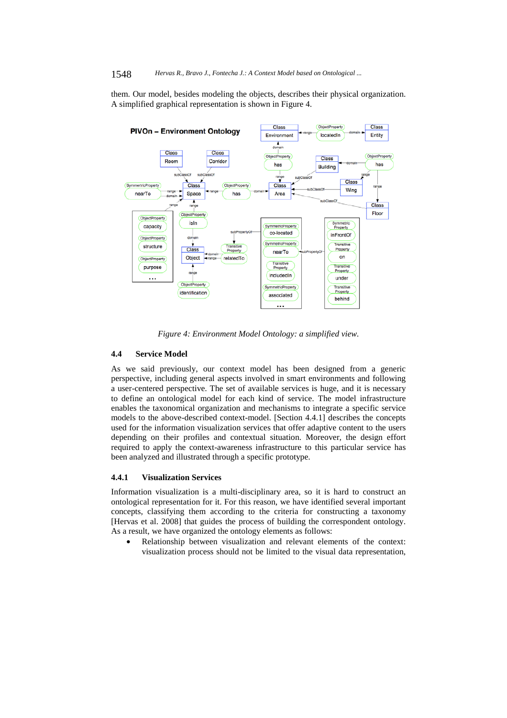#### 1548 *Hervas R., Bravo J., Fontecha J.: A Context Model based on Ontological ...*

them. Our model, besides modeling the objects, describes their physical organization. A simplified graphical representation is shown in Figure 4.



*Figure 4: Environment Model Ontology: a simplified view.* 

#### **4.4 Service Model**

As we said previously, our context model has been designed from a generic perspective, including general aspects involved in smart environments and following a user-centered perspective. The set of available services is huge, and it is necessary to define an ontological model for each kind of service. The model infrastructure enables the taxonomical organization and mechanisms to integrate a specific service models to the above-described context-model. [Section 4.4.1] describes the concepts used for the information visualization services that offer adaptive content to the users depending on their profiles and contextual situation. Moreover, the design effort required to apply the context-awareness infrastructure to this particular service has been analyzed and illustrated through a specific prototype.

### **4.4.1 Visualization Services**

Information visualization is a multi-disciplinary area, so it is hard to construct an ontological representation for it. For this reason, we have identified several important concepts, classifying them according to the criteria for constructing a taxonomy [Hervas et al. 2008] that guides the process of building the correspondent ontology. As a result, we have organized the ontology elements as follows:

Relationship between visualization and relevant elements of the context: visualization process should not be limited to the visual data representation,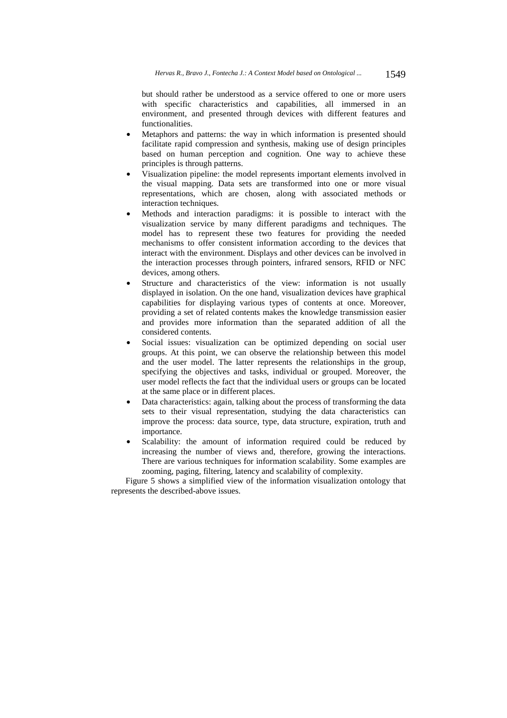but should rather be understood as a service offered to one or more users with specific characteristics and capabilities, all immersed in an environment, and presented through devices with different features and functionalities.

- Metaphors and patterns: the way in which information is presented should facilitate rapid compression and synthesis, making use of design principles based on human perception and cognition. One way to achieve these principles is through patterns.
- Visualization pipeline: the model represents important elements involved in the visual mapping. Data sets are transformed into one or more visual representations, which are chosen, along with associated methods or interaction techniques.
- Methods and interaction paradigms: it is possible to interact with the visualization service by many different paradigms and techniques. The model has to represent these two features for providing the needed mechanisms to offer consistent information according to the devices that interact with the environment. Displays and other devices can be involved in the interaction processes through pointers, infrared sensors, RFID or NFC devices, among others.
- Structure and characteristics of the view: information is not usually displayed in isolation. On the one hand, visualization devices have graphical capabilities for displaying various types of contents at once. Moreover, providing a set of related contents makes the knowledge transmission easier and provides more information than the separated addition of all the considered contents.
- Social issues: visualization can be optimized depending on social user groups. At this point, we can observe the relationship between this model and the user model. The latter represents the relationships in the group, specifying the objectives and tasks, individual or grouped. Moreover, the user model reflects the fact that the individual users or groups can be located at the same place or in different places.
- Data characteristics: again, talking about the process of transforming the data sets to their visual representation, studying the data characteristics can improve the process: data source, type, data structure, expiration, truth and importance.
- Scalability: the amount of information required could be reduced by increasing the number of views and, therefore, growing the interactions. There are various techniques for information scalability. Some examples are zooming, paging, filtering, latency and scalability of complexity.

Figure 5 shows a simplified view of the information visualization ontology that represents the described-above issues.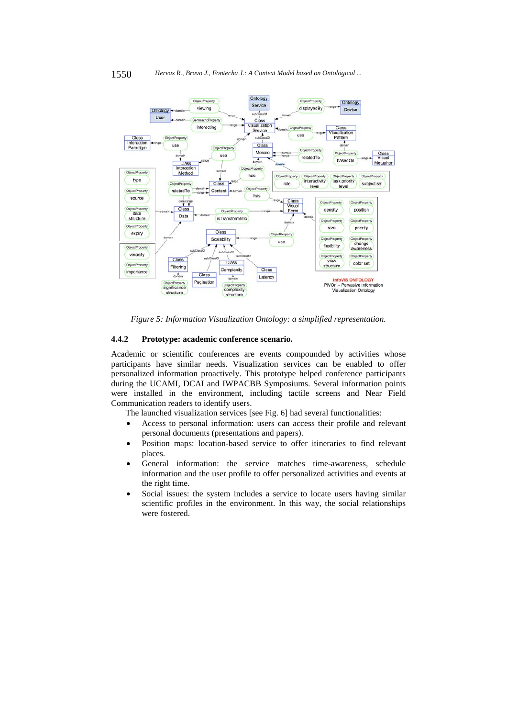

*Figure 5: Information Visualization Ontology: a simplified representation.* 

#### **4.4.2 Prototype: academic conference scenario.**

Academic or scientific conferences are events compounded by activities whose participants have similar needs. Visualization services can be enabled to offer personalized information proactively. This prototype helped conference participants during the UCAMI, DCAI and IWPACBB Symposiums. Several information points were installed in the environment, including tactile screens and Near Field Communication readers to identify users.

The launched visualization services [see Fig. 6] had several functionalities:

- Access to personal information: users can access their profile and relevant personal documents (presentations and papers).
- Position maps: location-based service to offer itineraries to find relevant places.
- General information: the service matches time-awareness, schedule information and the user profile to offer personalized activities and events at the right time.
- Social issues: the system includes a service to locate users having similar scientific profiles in the environment. In this way, the social relationships were fostered.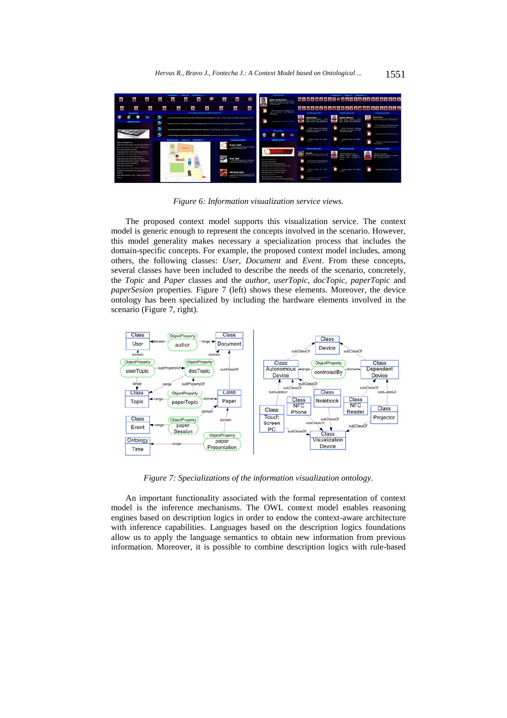

*Figure 6: Information visualization service views.* 

The proposed context model supports this visualization service. The context model is generic enough to represent the concepts involved in the scenario. However, this model generality makes necessary a specialization process that includes the domain-specific concepts. For example, the proposed context model includes, among others, the following classes: *User*, *Document* and *Event*. From these concepts, several classes have been included to describe the needs of the scenario, concretely, the *Topic* and *Paper* classes and the *author*, *userTopic*, *docTopic*, *paperTopic* and *paperSesion* properties. Figure 7 (left) shows these elements. Moreover, the device ontology has been specialized by including the hardware elements involved in the scenario (Figure 7, right).



*Figure 7: Specializations of the information visualization ontology.* 

An important functionality associated with the formal representation of context model is the inference mechanisms. The OWL context model enables reasoning engines based on description logics in order to endow the context-aware architecture with inference capabilities. Languages based on the description logics foundations allow us to apply the language semantics to obtain new information from previous information. Moreover, it is possible to combine description logics with rule-based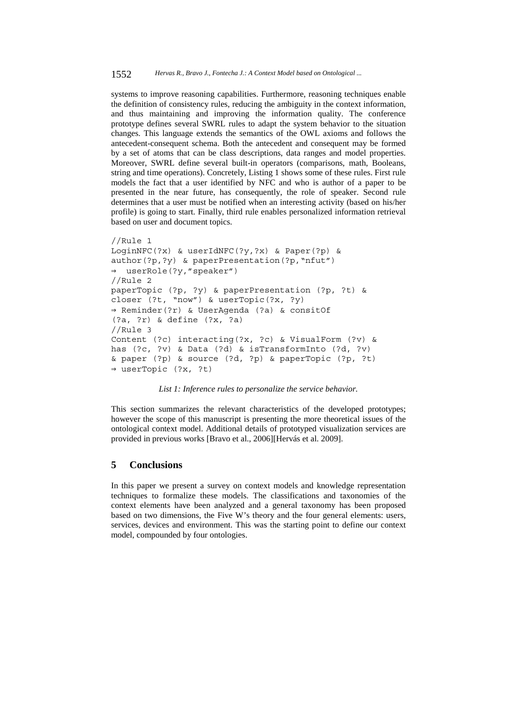systems to improve reasoning capabilities. Furthermore, reasoning techniques enable the definition of consistency rules, reducing the ambiguity in the context information, and thus maintaining and improving the information quality. The conference prototype defines several SWRL rules to adapt the system behavior to the situation changes. This language extends the semantics of the OWL axioms and follows the antecedent-consequent schema. Both the antecedent and consequent may be formed by a set of atoms that can be class descriptions, data ranges and model properties. Moreover, SWRL define several built-in operators (comparisons, math, Booleans, string and time operations). Concretely, Listing 1 shows some of these rules. First rule models the fact that a user identified by NFC and who is author of a paper to be presented in the near future, has consequently, the role of speaker. Second rule determines that a user must be notified when an interesting activity (based on his/her profile) is going to start. Finally, third rule enables personalized information retrieval based on user and document topics.

```
//Rule 1 
LoginNFC(?x) & userIdNFC(?y,?x) & Paper(?p) & 
author(?p,?y) & paperPresentation(?p,"nfut") 
⇒ userRole(?y,"speaker") 
//Rule 2 
paperTopic (?p, ?y) & paperPresentation (?p, ?t) & 
closer (?t, "now") & userTopic(?x, ?y) 
⇒ Reminder(?r) & UserAgenda (?a) & consitOf 
(?a, ?r) & define (?x, ?a) 
//Rule 3 
Content (?c) interacting(?x, ?c) & VisualForm (?v) & 
has (?c, ?v) & Data (?d) & isTransformInto (?d, ?v) 
& paper (?p) & source (?d, ?p) & paperTopic (?p, ?t) 
⇒ userTopic (?x, ?t)
```
*List 1: Inference rules to personalize the service behavior.* 

This section summarizes the relevant characteristics of the developed prototypes; however the scope of this manuscript is presenting the more theoretical issues of the ontological context model. Additional details of prototyped visualization services are provided in previous works [Bravo et al., 2006][Hervás et al. 2009].

## **5 Conclusions**

In this paper we present a survey on context models and knowledge representation techniques to formalize these models. The classifications and taxonomies of the context elements have been analyzed and a general taxonomy has been proposed based on two dimensions, the Five W's theory and the four general elements: users, services, devices and environment. This was the starting point to define our context model, compounded by four ontologies.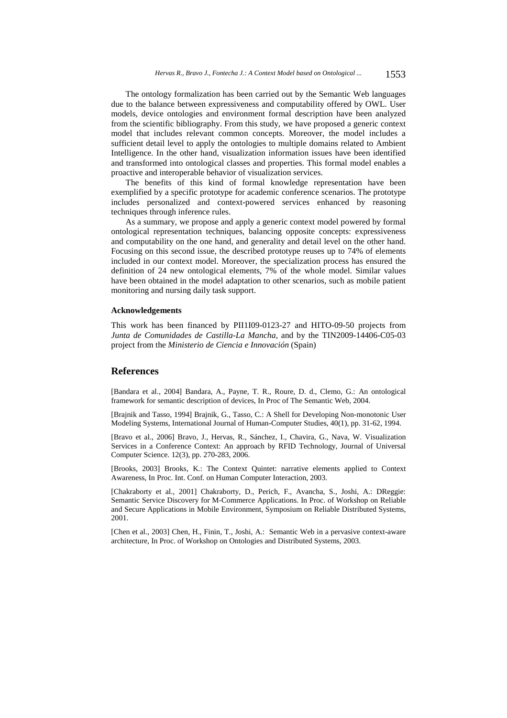The ontology formalization has been carried out by the Semantic Web languages due to the balance between expressiveness and computability offered by OWL. User models, device ontologies and environment formal description have been analyzed from the scientific bibliography. From this study, we have proposed a generic context model that includes relevant common concepts. Moreover, the model includes a sufficient detail level to apply the ontologies to multiple domains related to Ambient Intelligence. In the other hand, visualization information issues have been identified and transformed into ontological classes and properties. This formal model enables a proactive and interoperable behavior of visualization services.

The benefits of this kind of formal knowledge representation have been exemplified by a specific prototype for academic conference scenarios. The prototype includes personalized and context-powered services enhanced by reasoning techniques through inference rules.

As a summary, we propose and apply a generic context model powered by formal ontological representation techniques, balancing opposite concepts: expressiveness and computability on the one hand, and generality and detail level on the other hand. Focusing on this second issue, the described prototype reuses up to 74% of elements included in our context model. Moreover, the specialization process has ensured the definition of 24 new ontological elements, 7% of the whole model. Similar values have been obtained in the model adaptation to other scenarios, such as mobile patient monitoring and nursing daily task support.

#### **Acknowledgements**

This work has been financed by PII1I09-0123-27 and HITO-09-50 projects from *Junta de Comunidades de Castilla-La Mancha*, and by the TIN2009-14406-C05-03 project from the *Ministerio de Ciencia e Innovación* (Spain)

## **References**

[Bandara et al., 2004] Bandara, A., Payne, T. R., Roure, D. d., Clemo, G.: An ontological framework for semantic description of devices, In Proc of The Semantic Web, 2004.

[Brajnik and Tasso, 1994] Brajnik, G., Tasso, C.: A Shell for Developing Non-monotonic User Modeling Systems, International Journal of Human-Computer Studies, 40(1), pp. 31-62, 1994.

[Bravo et al., 2006] Bravo, J., Hervas, R., Sánchez, I., Chavira, G., Nava, W. Visualization Services in a Conference Context: An approach by RFID Technology, Journal of Universal Computer Science. 12(3), pp. 270-283, 2006.

[Brooks, 2003] Brooks, K.: The Context Quintet: narrative elements applied to Context Awareness, In Proc. Int. Conf. on Human Computer Interaction, 2003.

[Chakraborty et al., 2001] Chakraborty, D., Perich, F., Avancha, S., Joshi, A.: DReggie: Semantic Service Discovery for M-Commerce Applications. In Proc. of Workshop on Reliable and Secure Applications in Mobile Environment, Symposium on Reliable Distributed Systems, 2001.

[Chen et al., 2003] Chen, H., Finin, T., Joshi, A.: Semantic Web in a pervasive context-aware architecture, In Proc. of Workshop on Ontologies and Distributed Systems, 2003.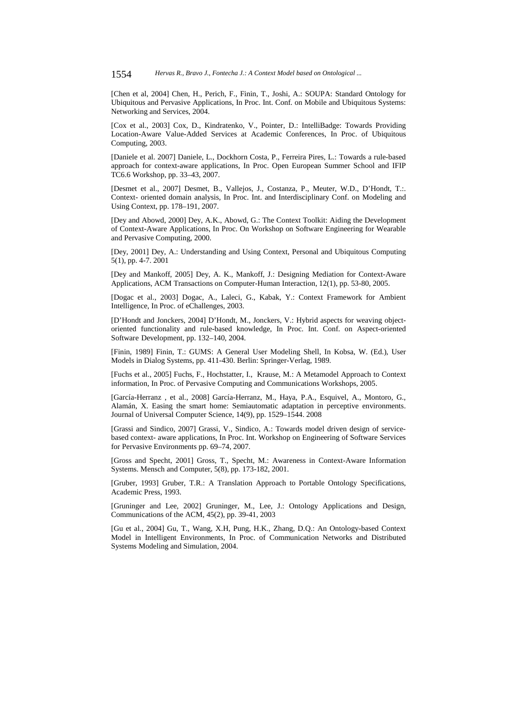[Chen et al, 2004] Chen, H., Perich, F., Finin, T., Joshi, A.: SOUPA: Standard Ontology for Ubiquitous and Pervasive Applications, In Proc. Int. Conf. on Mobile and Ubiquitous Systems: Networking and Services, 2004.

[Cox et al., 2003] Cox, D., Kindratenko, V., Pointer, D.: IntelliBadge: Towards Providing Location-Aware Value-Added Services at Academic Conferences, In Proc. of Ubiquitous Computing, 2003.

[Daniele et al. 2007] Daniele, L., Dockhorn Costa, P., Ferreira Pires, L.: Towards a rule-based approach for context-aware applications, In Proc. Open European Summer School and IFIP TC6.6 Workshop, pp. 33–43, 2007.

[Desmet et al., 2007] Desmet, B., Vallejos, J., Costanza, P., Meuter, W.D., D'Hondt, T.:. Context- oriented domain analysis, In Proc. Int. and Interdisciplinary Conf. on Modeling and Using Context, pp. 178–191, 2007.

[Dey and Abowd, 2000] Dey, A.K., Abowd, G.: The Context Toolkit: Aiding the Development of Context-Aware Applications, In Proc. On Workshop on Software Engineering for Wearable and Pervasive Computing, 2000.

[Dey, 2001] Dey, A.: Understanding and Using Context, Personal and Ubiquitous Computing 5(1), pp. 4-7. 2001

[Dey and Mankoff, 2005] Dey, A. K., Mankoff, J.: Designing Mediation for Context-Aware Applications, ACM Transactions on Computer-Human Interaction, 12(1), pp. 53-80, 2005.

[Dogac et al., 2003] Dogac, A., Laleci, G., Kabak, Y.: Context Framework for Ambient Intelligence, In Proc. of eChallenges, 2003.

[D'Hondt and Jonckers, 2004] D'Hondt, M., Jonckers, V.: Hybrid aspects for weaving objectoriented functionality and rule-based knowledge, In Proc. Int. Conf. on Aspect-oriented Software Development, pp. 132–140, 2004.

[Finin, 1989] Finin, T.: GUMS: A General User Modeling Shell, In Kobsa, W. (Ed.), User Models in Dialog Systems, pp. 411-430. Berlin: Springer-Verlag, 1989.

[Fuchs et al., 2005] Fuchs, F., Hochstatter, I., Krause, M.: A Metamodel Approach to Context information, In Proc. of Pervasive Computing and Communications Workshops, 2005.

[García-Herranz , et al., 2008] García-Herranz, M., Haya, P.A., Esquivel, A., Montoro, G., Alamán, X. Easing the smart home: Semiautomatic adaptation in perceptive environments. Journal of Universal Computer Science, 14(9), pp. 1529–1544. 2008

[Grassi and Sindico, 2007] Grassi, V., Sindico, A.: Towards model driven design of servicebased context- aware applications, In Proc. Int. Workshop on Engineering of Software Services for Pervasive Environments pp. 69–74, 2007.

[Gross and Specht, 2001] Gross, T., Specht, M.: Awareness in Context-Aware Information Systems. Mensch and Computer, 5(8), pp. 173-182, 2001.

[Gruber, 1993] Gruber, T.R.: A Translation Approach to Portable Ontology Specifications, Academic Press, 1993.

[Gruninger and Lee, 2002] Gruninger, M., Lee, J.: Ontology Applications and Design, Communications of the ACM, 45(2), pp. 39-41, 2003

[Gu et al., 2004] Gu, T., Wang, X.H, Pung, H.K., Zhang, D.Q.: An Ontology-based Context Model in Intelligent Environments, In Proc. of Communication Networks and Distributed Systems Modeling and Simulation, 2004.